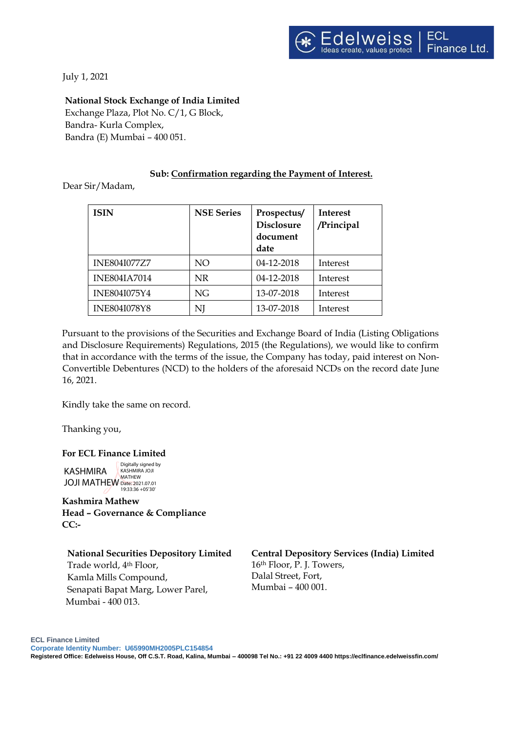July 1, 2021

# **National Stock Exchange of India Limited**

Exchange Plaza, Plot No. C/1, G Block, Bandra- Kurla Complex, Bandra (E) Mumbai – 400 051.

## **Sub: Confirmation regarding the Payment of Interest.**

Dear Sir/Madam,

| <b>ISIN</b>         | <b>NSE Series</b> | Prospectus/<br><b>Disclosure</b><br>document<br>date | <b>Interest</b><br>/Principal |
|---------------------|-------------------|------------------------------------------------------|-------------------------------|
| <b>INE804I077Z7</b> | NO.               | 04-12-2018                                           | Interest                      |
| <b>INE804IA7014</b> | NR.               | 04-12-2018                                           | Interest                      |
| INE804I075Y4        | <b>NG</b>         | 13-07-2018                                           | Interest                      |
| <b>INE804I078Y8</b> | NJ                | 13-07-2018                                           | Interest                      |

Pursuant to the provisions of the Securities and Exchange Board of India (Listing Obligations and Disclosure Requirements) Regulations, 2015 (the Regulations), we would like to confirm that in accordance with the terms of the issue, the Company has today, paid interest on Non-Convertible Debentures (NCD) to the holders of the aforesaid NCDs on the record date June 16, 2021.

Kindly take the same on record.

Thanking you,

#### **For ECL Finance Limited**

KASHMIRA JOJI MATHEW Date: 2021.07.01 Digitally signed by KASHMIRA JOJI MATHEW 19:33:36 +05'30'

**Kashmira Mathew Head – Governance & Compliance CC:-**

#### **National Securities Depository Limited**

Trade world, 4th Floor, Kamla Mills Compound, Senapati Bapat Marg, Lower Parel, Mumbai - 400 013.

**Central Depository Services (India) Limited** 16th Floor, P. J. Towers, Dalal Street, Fort, Mumbai – 400 001.